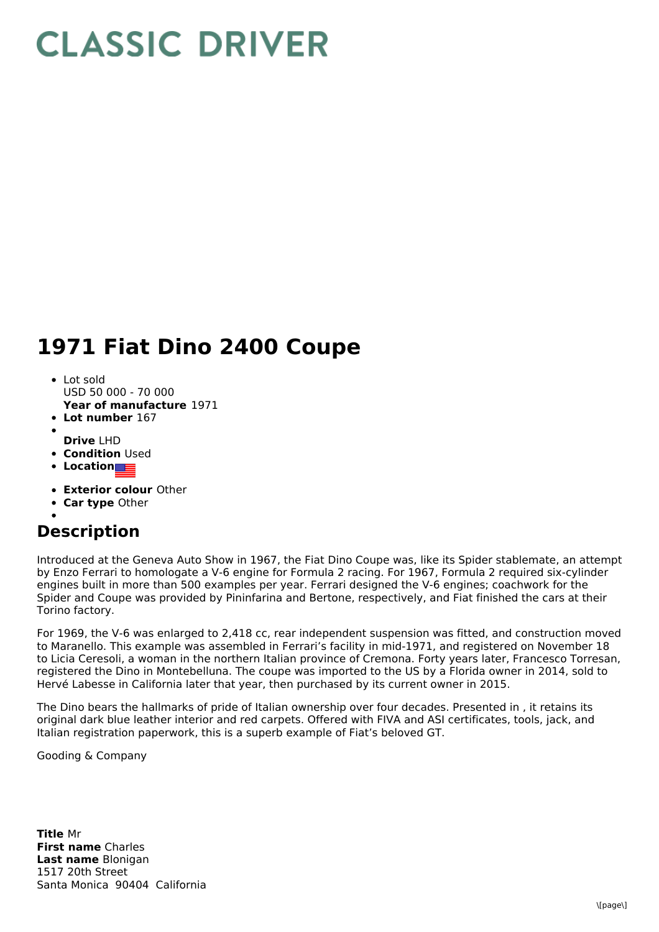## **CLASSIC DRIVER**

## **1971 Fiat Dino 2400 Coupe**

- Lot sold USD 50 000 - 70 000
- **Year of manufacture** 1971
- **Lot number** 167
- **Drive** LHD
- **Condition Used**
- **Location**
- **Exterior colour** Other
- **Car type** Other

## **Description**

Introduced at the Geneva Auto Show in 1967, the Fiat Dino Coupe was, like its Spider stablemate, an attempt by Enzo Ferrari to homologate a V-6 engine for Formula 2 racing. For 1967, Formula 2 required six-cylinder engines built in more than 500 examples per year. Ferrari designed the V-6 engines; coachwork for the Spider and Coupe was provided by Pininfarina and Bertone, respectively, and Fiat finished the cars at their Torino factory.

For 1969, the V-6 was enlarged to 2,418 cc, rear independent suspension was fitted, and construction moved to Maranello. This example was assembled in Ferrari's facility in mid-1971, and registered on November 18 to Licia Ceresoli, a woman in the northern Italian province of Cremona. Forty years later, Francesco Torresan, registered the Dino in Montebelluna. The coupe was imported to the US by a Florida owner in 2014, sold to Hervé Labesse in California later that year, then purchased by its current owner in 2015.

The Dino bears the hallmarks of pride of Italian ownership over four decades. Presented in , it retains its original dark blue leather interior and red carpets. Offered with FIVA and ASI certificates, tools, jack, and Italian registration paperwork, this is a superb example of Fiat's beloved GT.

Gooding & Company

**Title** Mr **First name** Charles **Last name** Blonigan 1517 20th Street Santa Monica 90404 California